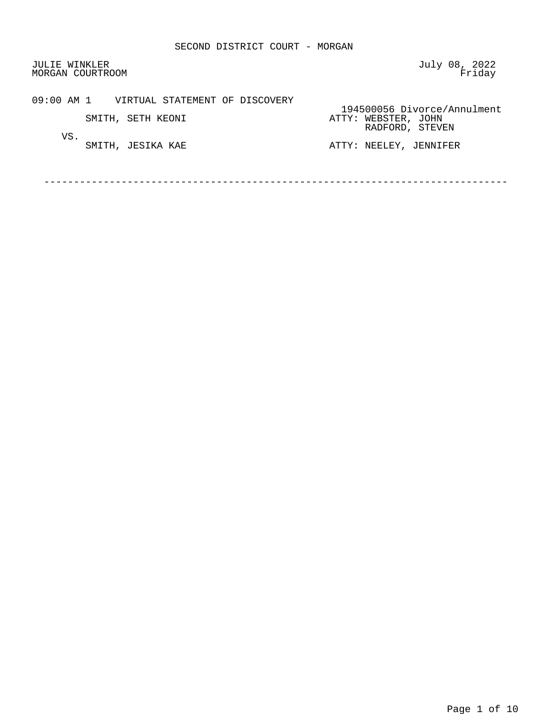JULIE WINKLER (UNITED STATES) STATES AND THE SUITE WINKLER SERVICES A SUITED STATES ON THE SUITED STATES AND T<br>MORGAN COURTROOM (STATES) STATES A SUITED STATES AND THE SUITED STATES AND THE SUITED STATES AND THE STATES ON MORGAN COURTROOM

09:00 AM 1 VIRTUAL STATEMENT OF DISCOVERY

VS.<br>SMITH, JESIKA KAE

194500056 Divorce/Annulment<br>
194500056 Divorce/Annulment<br>
ATTY: WEBSTER, JOHN SMITH, SETH KEONI **ATTY: WEBSTER**, JOHN RADFORD, STEVEN

ATTY: NEELEY, JENNIFER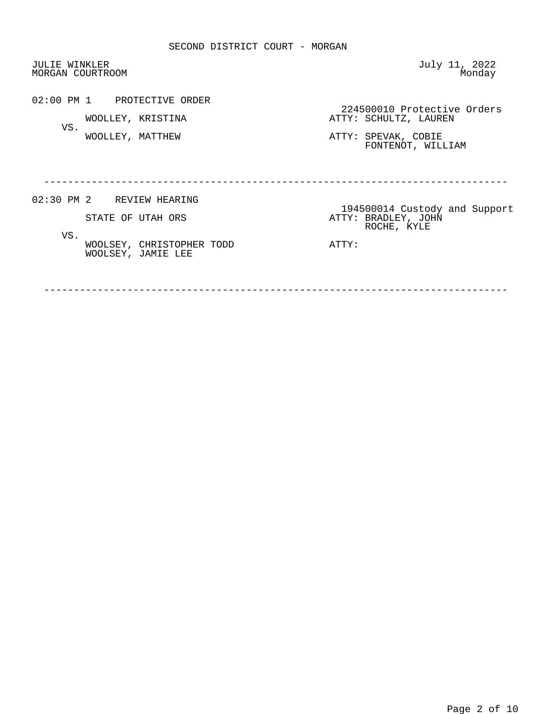JULIE WINKLER (JULIE WINKLER ) when the state of the state of the state of the state of the state of the state o<br>Monday (Monday ) when the state of the state of the state of the state of the state of the state of the state MORGAN COURTROOM 02:00 PM 1 PROTECTIVE ORDER External of the USA of the MOOLLEY, KRISTINA WOOLLEY, KRISTINA SCHULTZ, LAUREN ATTY: SCHULTZ, LAUREN VS. WOOLLEY, MATTHEW ATTY: SPEVAK, COBIE FONTENOT, WILLIAM ------------------------------------------------------------------------------ 02:30 PM 2 REVIEW HEARING 194500014 Custody and Support ATTY: BRADLEY, JOHN ROCHE, KYLE VS. WOOLSEY, CHRISTOPHER TODD **ATTY:** WOOLSEY, JAMIE LEE

------------------------------------------------------------------------------

Page 2 of 10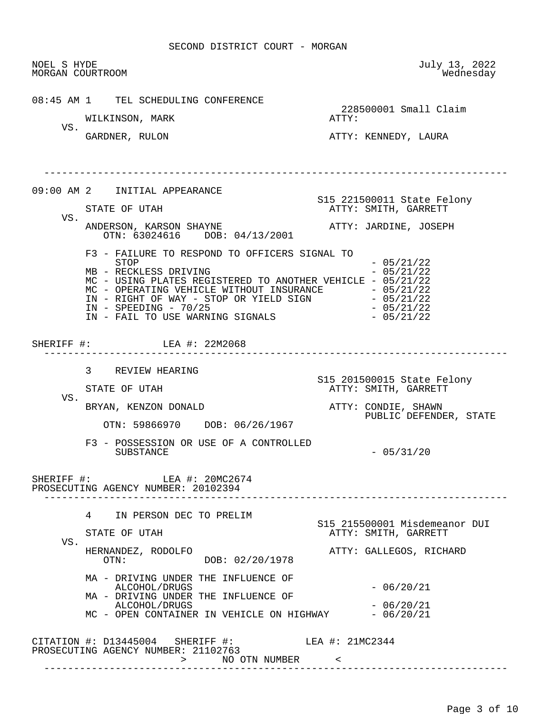NOEL S HYDE July 13, 2022 MORGAN COURTROOM 08:45 AM 1 TEL SCHEDULING CONFERENCE 228500001 Small Claim<br>ATTY: WILKINSON, MARK VS.<br>GARDNER, RULON ATTY: KENNEDY, LAURA ------------------------------------------------------------------------------ 09:00 AM 2 INITIAL APPEARANCE STATE OF UTAH STATE OF UTAH STATE OF UTAH ATTY: SMITH, GARRETT VS. ANDERSON, KARSON SHAYNE **ATTY: JARDINE, JOSEPH**  OTN: 63024616 DOB: 04/13/2001 F3 - FAILURE TO RESPOND TO OFFICERS SIGNAL TO  $-05/21/22$ <br>- 05/21/22 MB - RECKLESS DRIVING MC - USING PLATES REGISTERED TO ANOTHER VEHICLE - 05/21/22 MC - OPERATING VEHICLE WITHOUT INSURANCE - 05/21/22  $IN - RIGHT OF$   $NAY - STOP OR YIELD SIGN - 05/21/22$ IN - SPEEDING - 70/25<br>IN - FAIL TO USE WARNING SIGNALS - 05/21/22 IN - FAIL TO USE WARNING SIGNALS SHERIFF #: LEA #: 22M2068 ------------------------------------------------------------------------------ 3 REVIEW HEARING S15 201500015 State Felony ATTY: SMITH, GARRETT VS. BRYAN, KENZON DONALD ATTY: CONDIE, SHAWN PUBLIC DEFENDER, STATE OTN: 59866970 DOB: 06/26/1967 F3 - POSSESSION OR USE OF A CONTROLLED  $-05/31/20$ SHERIFF #: LEA #: 20MC2674 PROSECUTING AGENCY NUMBER: 20102394 ------------------------------------------------------------------------------ 4 IN PERSON DEC TO PRELIM STATE OF UTAH STATE OF UTAH STATE OF UTAH ATTY: SMITH, GARRETT VS.<br>HERNANDEZ, RODOLFO HERNANDEZ, RODOLFO ATTY: GALLEGOS, RICHARD DOB: 02/20/1978 MA - DRIVING UNDER THE INFLUENCE OF ALCOHOL/DRUGS - 06/20/21 MA - DRIVING UNDER THE INFLUENCE OF  $ALCOHOL/DRUGS$   $-06/20/21$ MC - OPEN CONTAINER IN VEHICLE ON HIGHWAY - 06/20/21 CITATION #: D13445004 SHERIFF #: LEA #: 21MC2344 PROSECUTING AGENCY NUMBER: 21102763 > NO OTN NUMBER < ------------------------------------------------------------------------------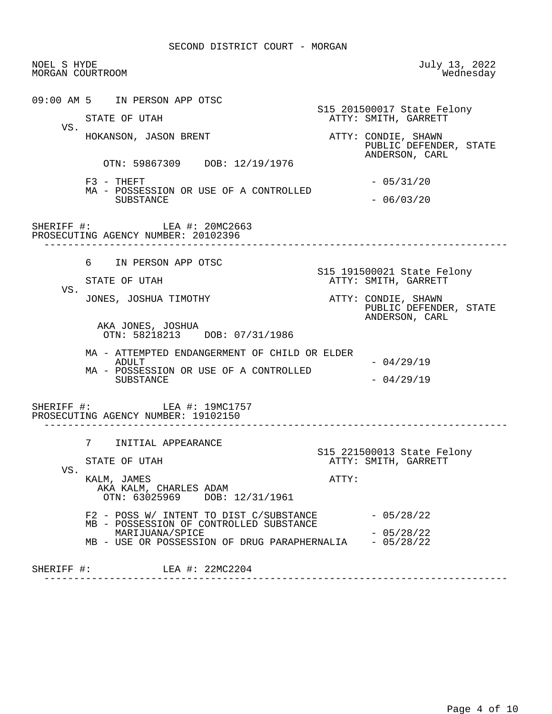| NOEL S HYDE<br>MORGAN COURTROOM |                                                                                                                       | July 13, 2022<br>Wednesday                                      |
|---------------------------------|-----------------------------------------------------------------------------------------------------------------------|-----------------------------------------------------------------|
| VS.                             | 09:00 AM 5 IN PERSON APP OTSC<br>STATE OF UTAH                                                                        | S15 201500017 State Felony<br>ATTY: SMITH, GARRETT              |
|                                 | HOKANSON, JASON BRENT                                                                                                 | ATTY: CONDIE, SHAWN<br>PUBLIC DEFENDER, STATE<br>ANDERSON, CARL |
|                                 | OTN: 59867309 DOB: 12/19/1976                                                                                         |                                                                 |
|                                 | $F3$ - THEFT<br>MA - POSSESSION OR USE OF A CONTROLLED<br><b>SUBSTANCE</b>                                            | $-05/31/20$                                                     |
|                                 |                                                                                                                       | $-06/03/20$                                                     |
|                                 | SHERIFF #: LEA #: 20MC2663<br>PROSECUTING AGENCY NUMBER: 20102396                                                     |                                                                 |
|                                 | 6 IN PERSON APP OTSC                                                                                                  |                                                                 |
| VS.                             | STATE OF UTAH                                                                                                         | S15 191500021 State Felony<br>ATTY: SMITH, GARRETT              |
|                                 | JONES, JOSHUA TIMOTHY                                                                                                 | ATTY: CONDIE, SHAWN<br>PUBLIC DEFENDER, STATE<br>ANDERSON, CARL |
|                                 | AKA JONES, JOSHUA<br>OTN: 58218213 DOB: 07/31/1986                                                                    |                                                                 |
|                                 | MA - ATTEMPTED ENDANGERMENT OF CHILD OR ELDER<br>ADULT<br>MA - POSSESSION OR USE OF A CONTROLLED<br>SUBSTANCE         | $-04/29/19$                                                     |
|                                 |                                                                                                                       | $-04/29/19$                                                     |
|                                 | SHERIFF #: LEA #: 19MC1757<br>PROSECUTING AGENCY NUMBER: 19102150                                                     |                                                                 |
| VS.                             | 7<br>INITIAL APPEARANCE                                                                                               |                                                                 |
|                                 | STATE OF UTAH                                                                                                         | S15 221500013 State Felony<br>ATTY: SMITH, GARRETT              |
|                                 | KALM, JAMES<br>AKA KALM, CHARLES ADAM<br>OTN: 63025969 DOB: 12/31/1961                                                | ATTY:                                                           |
|                                 |                                                                                                                       | $-05/28/22$                                                     |
|                                 | F2 - POSS W/ INTENT TO DIST C/SUBSTANCE                                                                               |                                                                 |
|                                 | MB - POSSESSION OF CONTROLLED SUBSTANCE<br>MARIJUANA/SPICE<br>MB - USE OR POSSESSION OF DRUG PARAPHERNALIA - 05/28/22 | $-05/28/22$                                                     |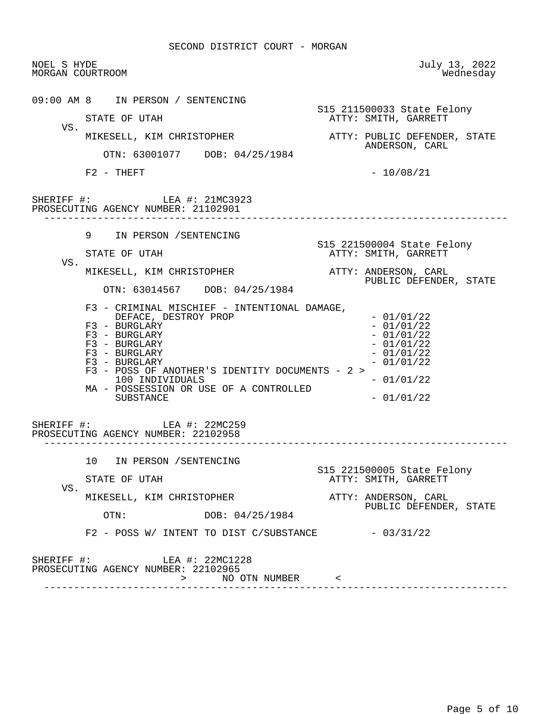NOEL S HYDE July 13, 2022 MORGAN COURTROOM 09:00 AM 8 IN PERSON / SENTENCING STATE OF UTAH STATE OF UTAH STATE OF UTAH ATTY: SMITH, GARRETT VS.<br>MIKESELL, KIM CHRISTOPHER ATTY: PUBLIC DEFENDER, STATE ANDERSON, CARL OTN: 63001077 DOB: 04/25/1984  $F2 - THEFT$  - 10/08/21 SHERIFF #: LEA #: 21MC3923 PROSECUTING AGENCY NUMBER: 21102901 ------------------------------------------------------------------------------ 9 IN PERSON /SENTENCING S15 221500004 State Felony ATTY: SMITH, GARRETT VS. MIKESELL, KIM CHRISTOPHER ATTY: ANDERSON, CARL PUBLIC DEFENDER, STATE OTN: 63014567 DOB: 04/25/1984 F3 - CRIMINAL MISCHIEF - INTENTIONAL DAMAGE, DEFACE, DESTROY PROP - 01/01/22<br>BURGLARY - 01/01/22  $F3 - BURGLARY$ <br> $F3 - BURGLARY - 01/01/22$  $F3 - BURGLARY$ <br> $F3 - BURGLARY$  - 01/01/22  $F3 - BURGLARY$ <br> $F3 - BURGLARY - 01/01/22$  $F3 - BURGLARY$ <br> $F3 - BURGLARY$  - 01/01/22  $F3$  - BURGLARY F3 - POSS OF ANOTHER'S IDENTITY DOCUMENTS - 2 >  $100$  INDIVIDUALS  $-01/01/22$  MA - POSSESSION OR USE OF A CONTROLLED  $SUBSTATE$   $-01/01/22$  SHERIFF #: LEA #: 22MC259 PROSECUTING AGENCY NUMBER: 22102958 ------------------------------------------------------------------------------ 10 IN PERSON /SENTENCING STATE OF UTAH STATE OF UTAH ATTY: SMITH, GARRETT VS.<br>MIKESELL, KIM CHRISTOPHER ATTY: ANDERSON, CARL OTN: DOB: 04/25/1984 PUBLIC DEFENDER, STATE DOB: 04/25/1984  $F2 - POSS W / INIENT TO DIST C/SUBSTANCE - 03/31/22$ SHERIFF #: LEA #: 22MC1228 PROSECUTING AGENCY NUMBER: 22102965 > NO OTN NUMBER < ------------------------------------------------------------------------------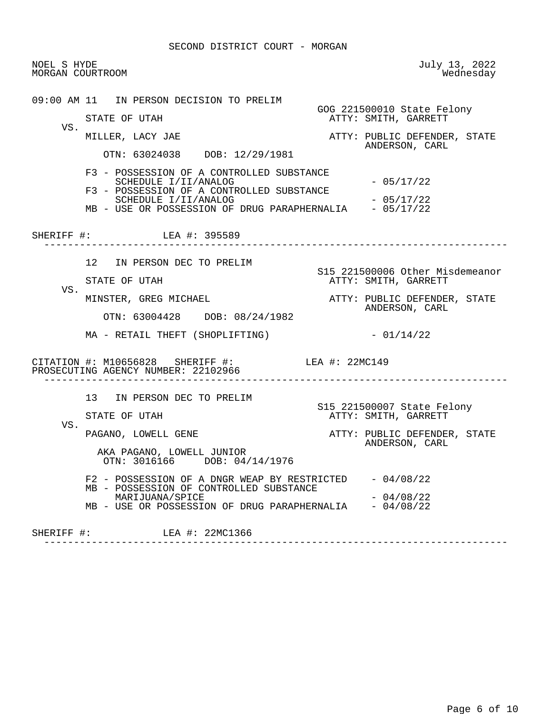NOEL S HYDE July 13, 2022 MORGAN COURTROOM 09:00 AM 11 IN PERSON DECISION TO PRELIM GOG 221500010 State Felony<br>GTATE OF UTAH GARRETT MITH, GARRETT ATTY: SMITH, GARRETT VS.<br>MILLER, LACY JAE ATTY: PUBLIC DEFENDER, STATE ANDERSON, CARL OTN: 63024038 DOB: 12/29/1981 F3 - POSSESSION OF A CONTROLLED SUBSTANCE SCHEDULE  $I/II/ANALOG$  - 05/17/22 F3 - POSSESSION OF A CONTROLLED SUBSTANCE SCHEDULE I/II/ANALOG<br>USE OR POSSESSION OF DRUG PARAPHERNALIA - 05/17/22 MB - USE OR POSSESSION OF DRUG PARAPHERNALIA SHERIFF #: LEA #: 395589 ------------------------------------------------------------------------------ 12 IN PERSON DEC TO PRELIM S15 221500006 Other Misdemeanor ATTY: SMITH, GARRETT VS.<br>MINSTER, GREG MICHAEL ATTY: PUBLIC DEFENDER, STATE ANDERSON, CARL OTN: 63004428 DOB: 08/24/1982  $MA - RETAIL THEFT (SHOPLIFTING)$  - 01/14/22 CITATION #: M10656828 SHERIFF #: LEA #: 22MC149 PROSECUTING AGENCY NUMBER: 22102966 ------------------------------------------------------------------------------ 13 IN PERSON DEC TO PRELIM STATE OF UTAH STATE OF UTAH STATE OF UTAH ATTY: SMITH, GARRETT VS. PAGANO, LOWELL GENE ATTY: PUBLIC DEFENDER, STATE ANDERSON, CARL AKA PAGANO, LOWELL JUNIOR OTN: 3016166 DOB: 04/14/1976 F2 - POSSESSION OF A DNGR WEAP BY RESTRICTED - 04/08/22 MB - POSSESSION OF CONTROLLED SUBSTANCE  $MARTJUANA/SPICE$  - 04/08/22 MB - USE OR POSSESSION OF DRUG PARAPHERNALIA - 04/08/22 SHERIFF #: LEA #: 22MC1366 ------------------------------------------------------------------------------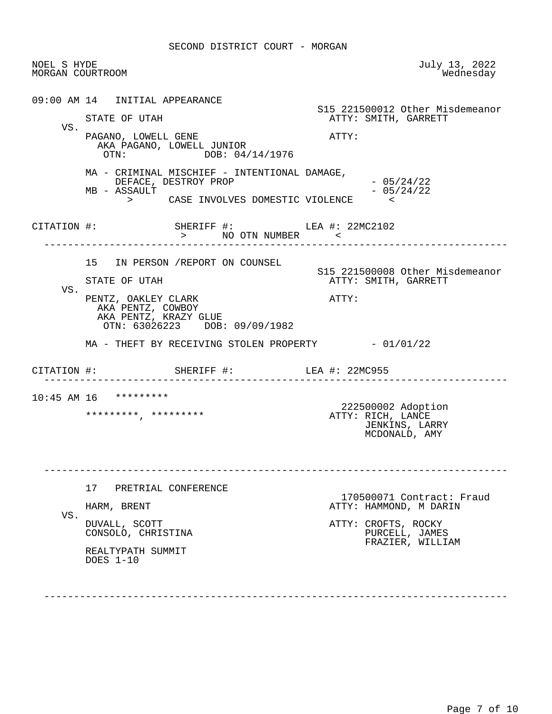| NOEL S HYDE<br>MORGAN COURTROOM |                                                                                                                                                         | July 13, 2022<br>Wednesday                                                                                       |
|---------------------------------|---------------------------------------------------------------------------------------------------------------------------------------------------------|------------------------------------------------------------------------------------------------------------------|
| VS.                             | 09:00 AM 14 INITIAL APPEARANCE<br>STATE OF UTAH<br>PAGANO, LOWELL GENE<br>AKA PAGANO, LOWELL JUNIOR<br>OTN: $DOB: 04/14/1976$                           | S15 221500012 Other Misdemeanor<br>ATTY: SMITH, GARRETT<br>ATTY:                                                 |
|                                 | MA - CRIMINAL MISCHIEF - INTENTIONAL DAMAGE,<br>DEFACE, DESTROY PROP<br>MB - ASSAULT<br>> CASE INVOLVES DOMESTIC VIOLENCE <                             | $-05/24/22$<br>$-05/24/22$                                                                                       |
|                                 | CITATION #: SHERIFF #: LEA #: 22MC2102<br>> NO OTN NUMBER <                                                                                             |                                                                                                                  |
| VS.                             | 15 IN PERSON / REPORT ON COUNSEL<br>STATE OF UTAH<br>PENTZ, OAKLEY CLARK<br>AKA PENTZ, COWBOY<br>AKA PENTZ, KRAZY GLUE<br>OTN: 63026223 DOB: 09/09/1982 | S15 221500008 Other Misdemeanor<br>ATTY: SMITH, GARRETT<br>ATTY:                                                 |
|                                 | MA - THEFT BY RECEIVING STOLEN PROPERTY - 01/01/22<br>CITATION #: SHERIFF #: LEA #: 22MC955<br>. _ _ _ _ _ _ _ _ _ _ _ _ _ _ _                          |                                                                                                                  |
|                                 | 10:45 AM 16 *********<br>********************                                                                                                           | 222500002 Adoption<br>ATTY: RICH, LANCE<br>JENKINS, LARRY<br>MCDONALD, AMY                                       |
| VS.                             | 17 PRETRIAL CONFERENCE<br>HARM, BRENT<br>DUVALL, SCOTT<br>CONSOLO, CHRISTINA<br>REALTYPATH SUMMIT<br>DOES 1-10                                          | 170500071 Contract: Fraud<br>ATTY: HAMMOND, M DARIN<br>ATTY: CROFTS, ROCKY<br>PURCELL, JAMES<br>FRAZIER, WILLIAM |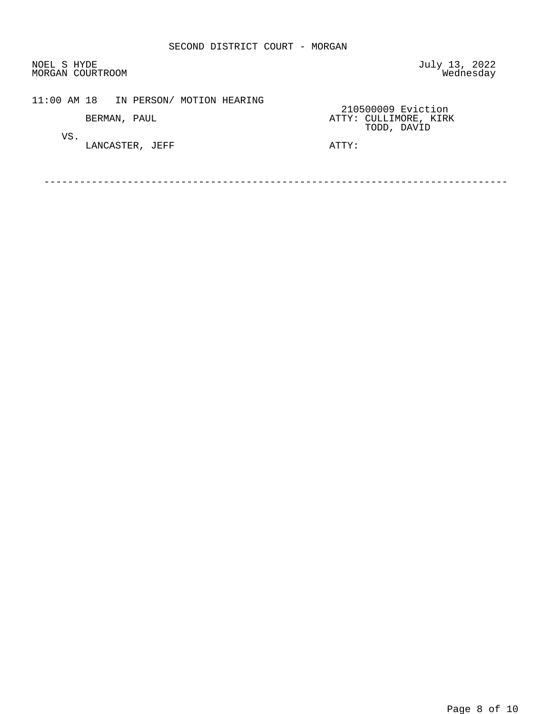NOEL S HYDE July 13, 2022<br>MORGAN COURTROOM MORGAN COURTROOM MORGAN COURTROOM

# 11:00 AM 18 IN PERSON/ MOTION HEARING

VS.

LANCASTER, JEFF **ATTY:** 

210500009 Eviction<br>210500009 Eviction<br>ATTY: CULLIMORE, KIRP BERMAN, PAUL **ATTY: CULLIMORE, KIRK** TODD, DAVID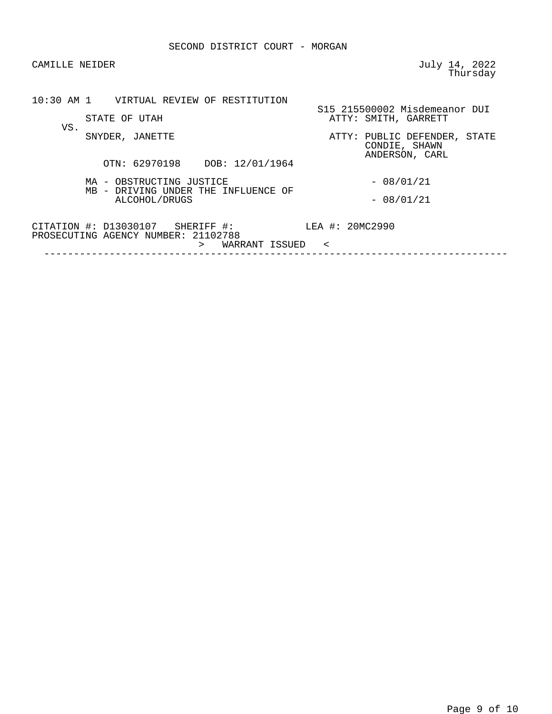| CAMILLE NEIDER                                                                                        | July 14, 2022<br>Thursday                                       |
|-------------------------------------------------------------------------------------------------------|-----------------------------------------------------------------|
| 10:30 AM 1 VIRTUAL REVIEW OF RESTITUTION<br>STATE OF UTAH                                             | S15 215500002 Misdemeanor DUI<br>ATTY: SMITH, GARRETT           |
| VS.<br>SNYDER, JANETTE<br>OTN: 62970198 DOB: 12/01/1964                                               | ATTY: PUBLIC DEFENDER, STATE<br>CONDIE, SHAWN<br>ANDERSON, CARL |
| MA - OBSTRUCTING JUSTICE<br>MB - DRIVING UNDER THE INFLUENCE OF<br>ALCOHOL/DRUGS                      | $-08/01/21$<br>$-08/01/21$                                      |
| $CITATION #: D13030107$ SHERIFF #:<br>PROSECUTING AGENCY NUMBER: 21102788<br>WARRANT ISSUED<br>$\geq$ | LEA #: 20MC2990<br>$\prec$                                      |